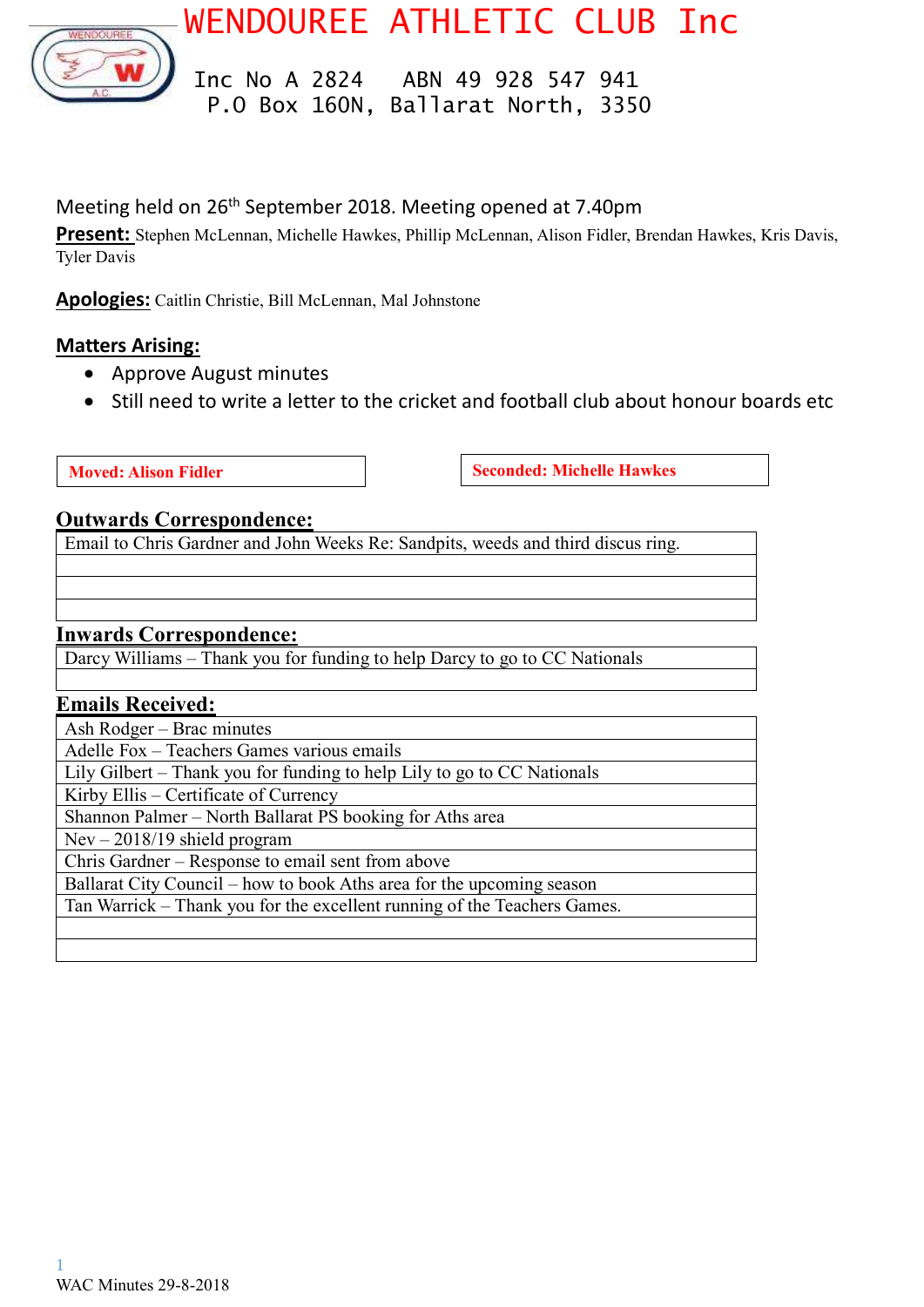

WENDOUREE ATHLETIC CLUB Inc

 Inc No A 2824 ABN 49 928 547 941 P.O Box 160N, Ballarat North, 3350

# Meeting held on 26<sup>th</sup> September 2018. Meeting opened at 7.40pm

**Present:** Stephen McLennan, Michelle Hawkes, Phillip McLennan, Alison Fidler, Brendan Hawkes, Kris Davis, Tyler Davis

**Apologies:** Caitlin Christie, Bill McLennan, Mal Johnstone

## **Matters Arising:**

- Approve August minutes
- Still need to write a letter to the cricket and football club about honour boards etc

**Moved:** Alison Fidler **Seconded:** Michelle Hawkes

#### **Outwards Correspondence:**

Email to Chris Gardner and John Weeks Re: Sandpits, weeds and third discus ring.

#### **Inwards Correspondence:**

Darcy Williams – Thank you for funding to help Darcy to go to CC Nationals

#### **Emails Received:**

Ash Rodger – Brac minutes Adelle Fox – Teachers Games various emails Lily Gilbert – Thank you for funding to help Lily to go to CC Nationals Kirby Ellis – Certificate of Currency Shannon Palmer – North Ballarat PS booking for Aths area Nev – 2018/19 shield program Chris Gardner – Response to email sent from above Ballarat City Council – how to book Aths area for the upcoming season Tan Warrick – Thank you for the excellent running of the Teachers Games.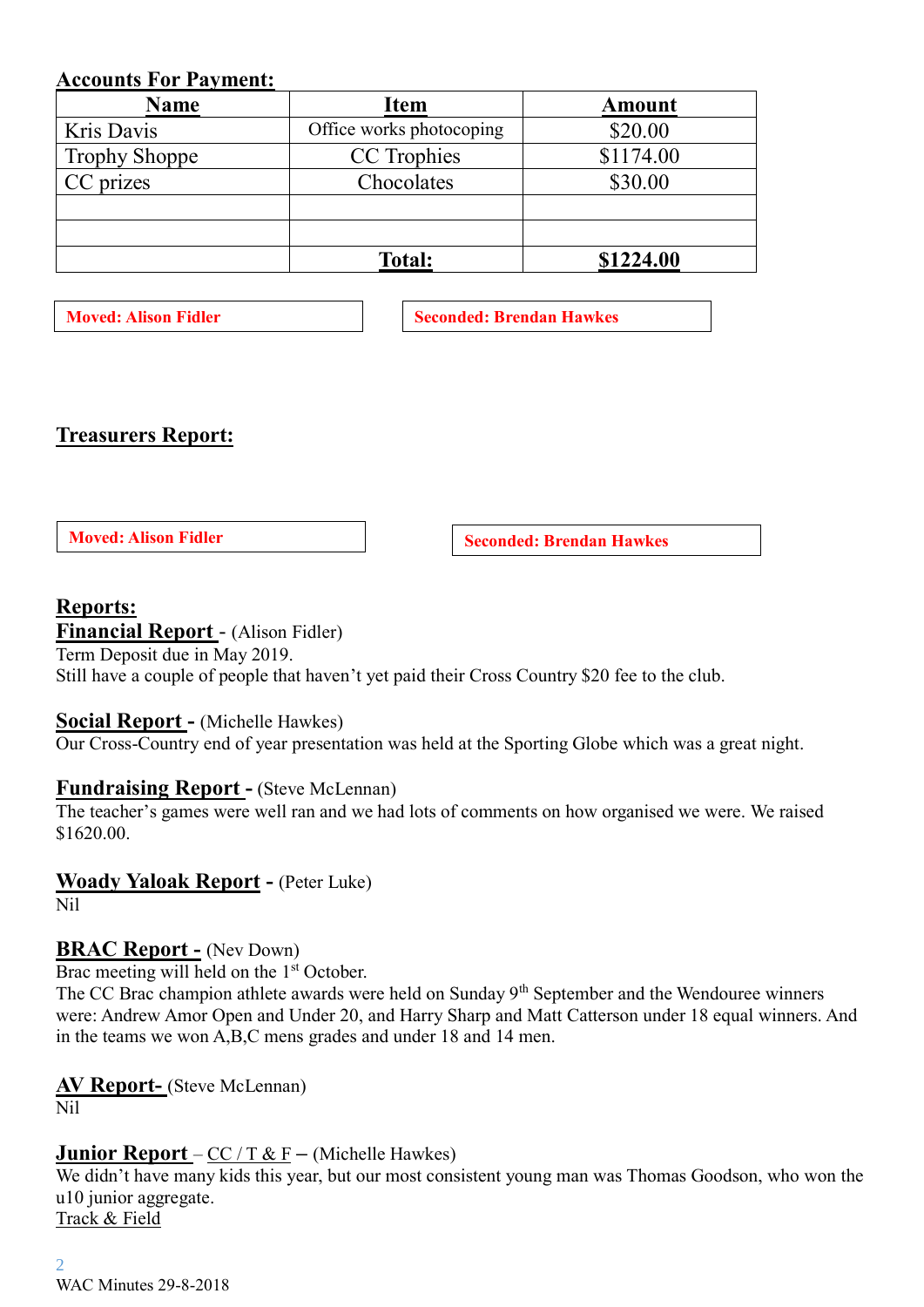## **Accounts For Payment:**

| <b>Name</b>          | <b>Item</b>              | <b>Amount</b> |  |
|----------------------|--------------------------|---------------|--|
| Kris Davis           | Office works photocoping | \$20.00       |  |
| <b>Trophy Shoppe</b> | CC Trophies              | \$1174.00     |  |
| CC prizes            | Chocolates               | \$30.00       |  |
|                      |                          |               |  |
|                      |                          |               |  |
|                      | <b>Total:</b>            | \$1224.00     |  |

**Moved:** Alison Fidler **Seconded: Brendan Hawkes** 

## **Treasurers Report:**

**Moved: Alison Fidler Seconded: Brendan Hawkes** 

# **Reports:**

## **Financial Report** - (Alison Fidler)

Term Deposit due in May 2019. Still have a couple of people that haven't yet paid their Cross Country \$20 fee to the club.

## **Social Report -** (Michelle Hawkes)

Our Cross-Country end of year presentation was held at the Sporting Globe which was a great night.

## **Fundraising Report -** (Steve McLennan)

The teacher's games were well ran and we had lots of comments on how organised we were. We raised \$1620.00.

## **Woady Yaloak Report -** (Peter Luke)

Nil

## **BRAC Report -** (Nev Down)

Brac meeting will held on the 1<sup>st</sup> October.

The CC Brac champion athlete awards were held on Sunday 9<sup>th</sup> September and the Wendouree winners were: Andrew Amor Open and Under 20, and Harry Sharp and Matt Catterson under 18 equal winners. And in the teams we won A,B,C mens grades and under 18 and 14 men.

# **AV Report-** (Steve McLennan)

Nil

## **Junior Report** – CC / T & F **–** (Michelle Hawkes)

We didn't have many kids this year, but our most consistent young man was Thomas Goodson, who won the u10 junior aggregate. Track & Field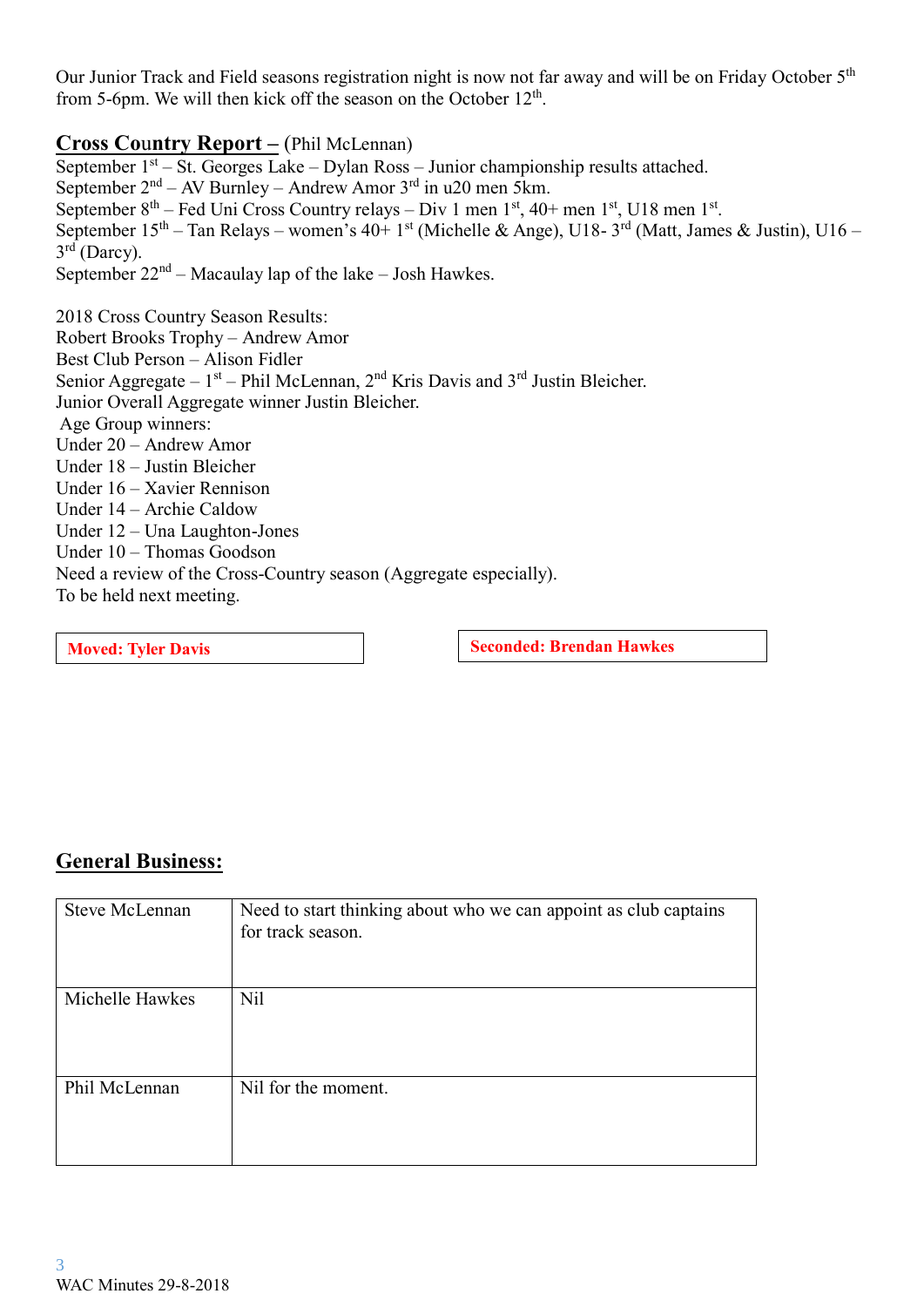Our Junior Track and Field seasons registration night is now not far away and will be on Friday October 5<sup>th</sup> from 5-6pm. We will then kick off the season on the October 12<sup>th</sup>.

## **Cross Co**u**ntry Report –** (Phil McLennan)

September 1<sup>st</sup> – St. Georges Lake – Dylan Ross – Junior championship results attached. September 2<sup>nd</sup> – AV Burnley – Andrew Amor 3<sup>rd</sup> in u20 men 5km. September  $8<sup>th</sup>$  – Fed Uni Cross Country relays – Div 1 men  $1<sup>st</sup>$ , 40+ men  $1<sup>st</sup>$ , U18 men  $1<sup>st</sup>$ . September  $15<sup>th</sup> - Tan Relays - women's 40+ 1<sup>st</sup> (Michelle & Angle), U18-3<sup>rd</sup> (Matt, James & Justin), U16-$ 3<sup>rd</sup> (Darcy). September  $22<sup>nd</sup>$  – Macaulay lap of the lake – Josh Hawkes.

2018 Cross Country Season Results: Robert Brooks Trophy – Andrew Amor Best Club Person – Alison Fidler Senior Aggregate –  $1<sup>st</sup>$  – Phil McLennan,  $2<sup>nd</sup>$  Kris Davis and  $3<sup>rd</sup>$  Justin Bleicher. Junior Overall Aggregate winner Justin Bleicher. Age Group winners: Under 20 – Andrew Amor Under 18 – Justin Bleicher Under 16 – Xavier Rennison Under 14 – Archie Caldow Under 12 – Una Laughton-Jones Under 10 – Thomas Goodson Need a review of the Cross-Country season (Aggregate especially). To be held next meeting.

**Moved:** Tyler Davis **Seconded:** Brendan Hawkes

## **General Business:**

| <b>Steve McLennan</b> | Need to start thinking about who we can appoint as club captains<br>for track season. |
|-----------------------|---------------------------------------------------------------------------------------|
| Michelle Hawkes       | N <sub>il</sub>                                                                       |
| Phil McLennan         | Nil for the moment.                                                                   |